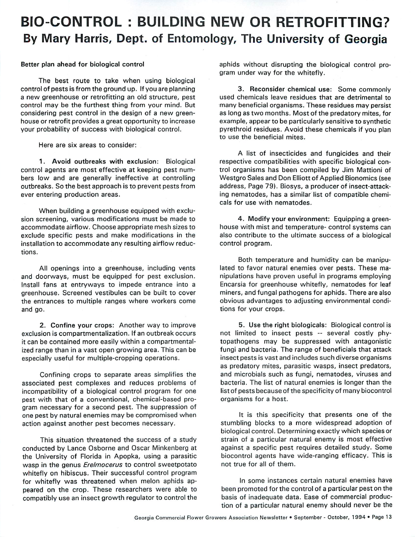## *BIO-CONTROL : BUILDING NEW OR RETROFITTING?* By Mary Harris, Dept. of Entomology, The University of Georgia

## *Better plan ahead for biological control*

The best route to take when using biological control of pests is from the ground up. If you are planning a new greenhouse or retrofitting an old structure, pest control may be the furthest thing from your mind. But considering pest control in the design of a new green house or retrofit provides a great opportunity to increase your probability of success with biological control.

Here are six areas to consider:

*1. Avoid outbreaks with exclusion:* Biological control agents are most effective at keeping pest num bers low and are generally ineffective at controlling outbreaks. So the best approach is to prevent pests from ever entering production areas.

When building a greenhouse equipped with exclu sion screening, various modifications must be made to accommodate airflow. Choose appropriate mesh sizes to exclude specific pests and make modifications in the installation to accommodate any resulting airflow reduc tions.

All openings into a greenhouse, including vents and doorways, must be equipped for pest exclusion. Install fans at entryways to impede entrance into a greenhouse. Screened vestibules can be built to cover the entrances to multiple ranges where workers come and go.

*2. Confine your crops:* Another way to improve exclusion is compartmentalization. If an outbreak occurs it can be contained more easily within a compartmental ized range than in a vast open growing area. This can be especially useful for multiple-cropping operations.

Confining crops to separate areas simplifies the associated pest complexes and reduces problems of incompatibility of a biological control program for one pest with that of a conventional, chemical-based pro gram necessary for a second pest. The suppression of one pest by natural enemies may be compromised when action against another pest becomes necessary.

This situation threatened the success of a study conducted by Lance Osborne and Oscar Minkenberg at the University of Florida in Apopka, using a parasitic wasp in the genus **Erelmocerus** to control sweetpotato whitefly on hibiscus. Their successful control program for whitefly was threatened when melon aphids ap peared on the crop. These researchers were able to compatibly use an insect growth regulator to control the aphids without disrupting the biological control pro gram under way for the whitefly.

3. Reconsider *chemical use:* Some commonly used chemicals leave residues that are detrimental to many beneficial organisms. These residues may persist as long as two months. Most of the predatory mites, for example, appear to be particularly sensitive to synthetic pyrethroid residues. Avoid these chemicals if you plan to use the beneficial mites.

A list of insecticides and fungicides and their respective compatibilities with specific biological con trol organisms has been compiled by Jim Mattioni of Westgro Sales and Don Elliott of Applied Bionomics (see address, Page 79). Biosys, a producer of insect-attack ing nematodes, has a similar list of compatible chemi cals for use with nematodes.

*4. Modify your environment:* Equipping a green house with mist and temperature- control systems can also contribute to the ultimate success of a biological control program.

Both temperature and humidity can be manipu lated to favor natural enemies over pests. These ma nipulations have proven useful in programs employing Encarsia for greenhouse whitefly, nematodes for leaf miners, and fungal pathogens for aphids. There are also obvious advantages to adjusting environmental condi tions for your crops.

5. Use the right biologicals: Biological control is *not* limited to insect pests — several costly phytopathogens may be suppressed with antagonistic fungi and bacteria. The range of beneficials that attack insect pests is vast and includes such diverse organisms as predatory mites, parasitic wasps, insect predators, and microbials such as fungi, nematodes, viruses and bacteria. The list of natural enemies is longer than the list of pests because of the specificity of many biocontrol organisms for a host.

It is this specificity that presents one of the stumbling blocks to a more widespread adoption of biological control. Determining exactly which species or strain of a particular natural enemy is most effective against a specific pest requires detailed study. Some biocontrol agents have wide-ranging efficacy. This is not true for all of them.

In some instances certain natural enemies have been promoted for the control of a particular pest on the basis of inadequate data. Ease of commercial produc tion of a particular natural enemy should never be the